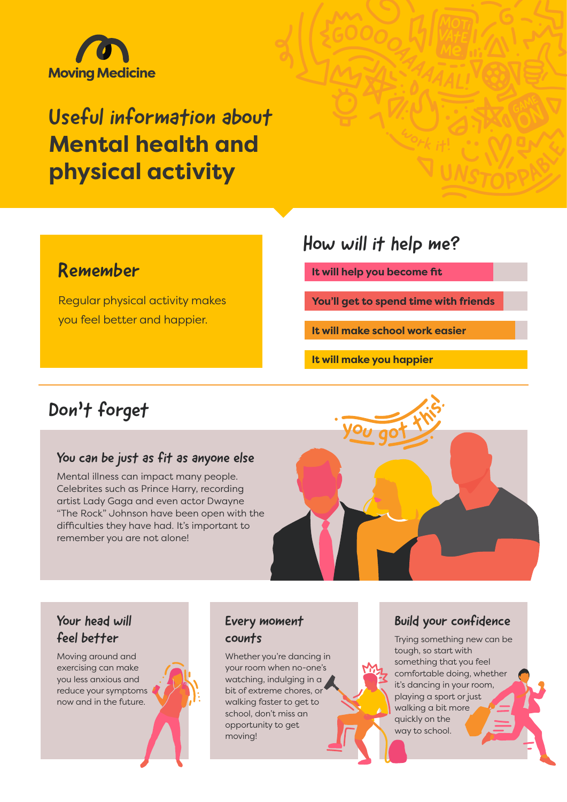

# Useful information about **Mental health and physical activity**

### Remember

Regular physical activity makes you feel better and happier.

### How will it help me?

**It will help you become fit**

**You'll get to spend time with friends**

**It will make school work easier**

**It will make you happier**

### Don't forget

#### You can be just as fit as anyone else

Mental illness can impact many people. Celebrites such as Prince Harry, recording artist Lady Gaga and even actor Dwayne "The Rock" Johnson have been open with the difficulties they have had. It's important to remember you are not alone!



#### Your head will feel better

Moving around and exercising can make you less anxious and reduce your symptoms now and in the future.



#### Every moment counts

Whether you're dancing in your room when no-one's watching, indulging in a bit of extreme chores, or walking faster to get to school, don't miss an opportunity to get moving!

#### Build your confidence

Trying something new can be tough, so start with something that you feel comfortable doing, whether it's dancing in your room, playing a sport or just walking a bit more quickly on the way to school.